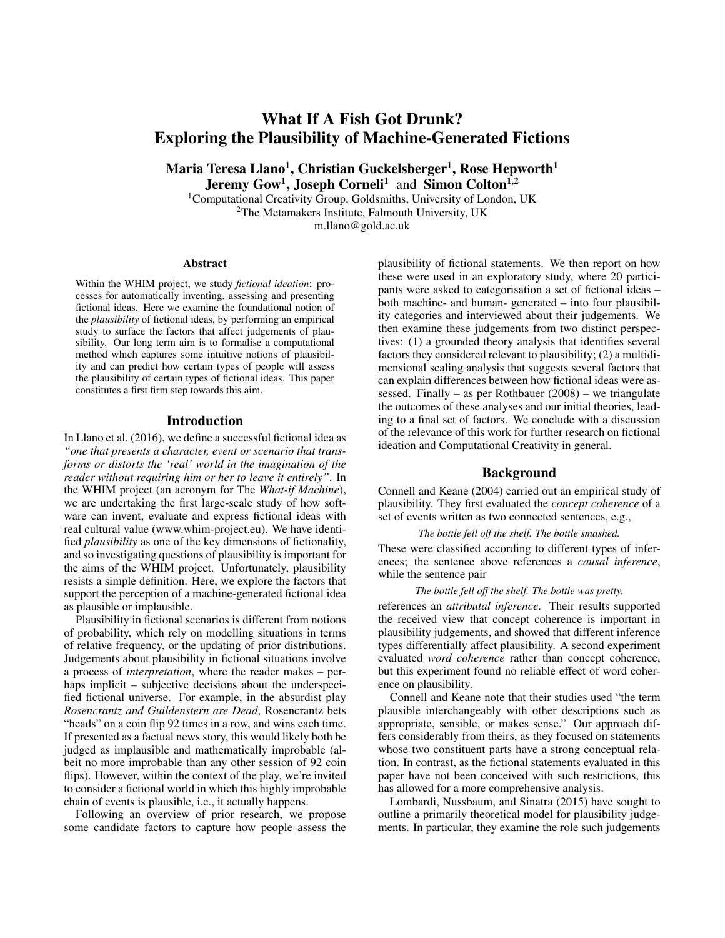# What If A Fish Got Drunk? Exploring the Plausibility of Machine-Generated Fictions

Maria Teresa Llano $^1$ , Christian Guckelsberger $^1$ , Rose Hepworth $^1$ Jeremy Gow<sup>1</sup>, Joseph Corneli<sup>1</sup> and Simon Colton<sup>1,2</sup>

<sup>1</sup>Computational Creativity Group, Goldsmiths, University of London, UK <sup>2</sup>The Metamakers Institute, Falmouth University, UK m.llano@gold.ac.uk

#### **Abstract**

Within the WHIM project, we study *fictional ideation*: processes for automatically inventing, assessing and presenting fictional ideas. Here we examine the foundational notion of the *plausibility* of fictional ideas, by performing an empirical study to surface the factors that affect judgements of plausibility. Our long term aim is to formalise a computational method which captures some intuitive notions of plausibility and can predict how certain types of people will assess the plausibility of certain types of fictional ideas. This paper constitutes a first firm step towards this aim.

#### Introduction

In Llano et al. (2016), we define a successful fictional idea as *"one that presents a character, event or scenario that transforms or distorts the 'real' world in the imagination of the reader without requiring him or her to leave it entirely"*. In the WHIM project (an acronym for The *What-if Machine*), we are undertaking the first large-scale study of how software can invent, evaluate and express fictional ideas with real cultural value (www.whim-project.eu). We have identified *plausibility* as one of the key dimensions of fictionality, and so investigating questions of plausibility is important for the aims of the WHIM project. Unfortunately, plausibility resists a simple definition. Here, we explore the factors that support the perception of a machine-generated fictional idea as plausible or implausible.

Plausibility in fictional scenarios is different from notions of probability, which rely on modelling situations in terms of relative frequency, or the updating of prior distributions. Judgements about plausibility in fictional situations involve a process of *interpretation*, where the reader makes – perhaps implicit – subjective decisions about the underspecified fictional universe. For example, in the absurdist play *Rosencrantz and Guildenstern are Dead*, Rosencrantz bets "heads" on a coin flip 92 times in a row, and wins each time. If presented as a factual news story, this would likely both be judged as implausible and mathematically improbable (albeit no more improbable than any other session of 92 coin flips). However, within the context of the play, we're invited to consider a fictional world in which this highly improbable chain of events is plausible, i.e., it actually happens.

Following an overview of prior research, we propose some candidate factors to capture how people assess the plausibility of fictional statements. We then report on how these were used in an exploratory study, where 20 participants were asked to categorisation a set of fictional ideas – both machine- and human- generated – into four plausibility categories and interviewed about their judgements. We then examine these judgements from two distinct perspectives: (1) a grounded theory analysis that identifies several factors they considered relevant to plausibility; (2) a multidimensional scaling analysis that suggests several factors that can explain differences between how fictional ideas were assessed. Finally – as per Rothbauer (2008) – we triangulate the outcomes of these analyses and our initial theories, leading to a final set of factors. We conclude with a discussion of the relevance of this work for further research on fictional ideation and Computational Creativity in general.

#### Background

Connell and Keane (2004) carried out an empirical study of plausibility. They first evaluated the *concept coherence* of a set of events written as two connected sentences, e.g.,

#### *The bottle fell off the shelf. The bottle smashed.*

These were classified according to different types of inferences; the sentence above references a *causal inference*, while the sentence pair

#### *The bottle fell off the shelf. The bottle was pretty.*

references an *attributal inference*. Their results supported the received view that concept coherence is important in plausibility judgements, and showed that different inference types differentially affect plausibility. A second experiment evaluated *word coherence* rather than concept coherence, but this experiment found no reliable effect of word coherence on plausibility.

Connell and Keane note that their studies used "the term plausible interchangeably with other descriptions such as appropriate, sensible, or makes sense." Our approach differs considerably from theirs, as they focused on statements whose two constituent parts have a strong conceptual relation. In contrast, as the fictional statements evaluated in this paper have not been conceived with such restrictions, this has allowed for a more comprehensive analysis.

Lombardi, Nussbaum, and Sinatra (2015) have sought to outline a primarily theoretical model for plausibility judgements. In particular, they examine the role such judgements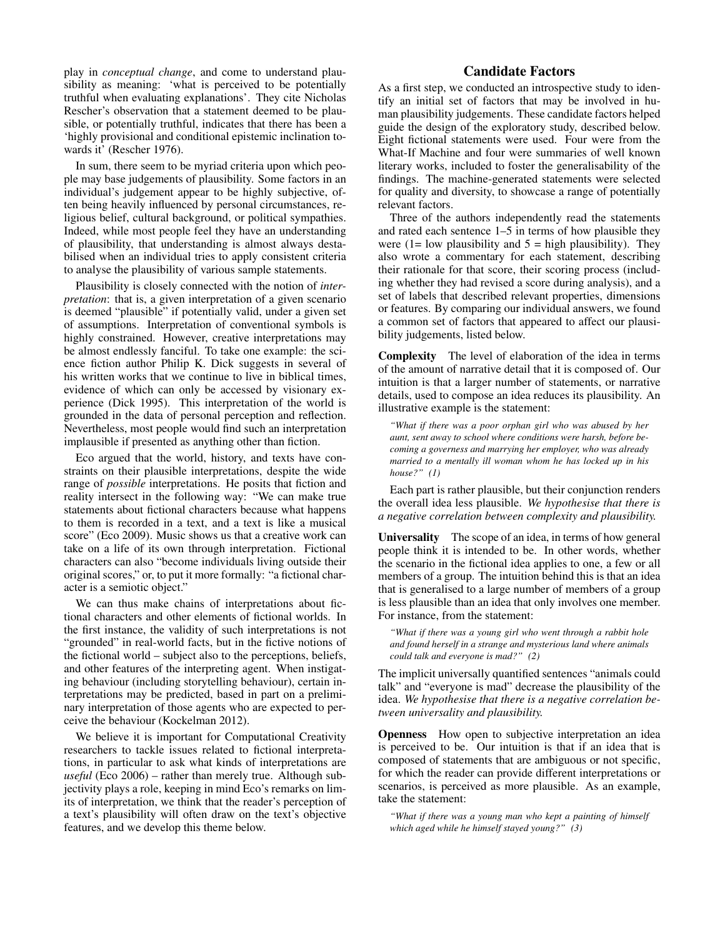play in *conceptual change*, and come to understand plausibility as meaning: 'what is perceived to be potentially truthful when evaluating explanations'. They cite Nicholas Rescher's observation that a statement deemed to be plausible, or potentially truthful, indicates that there has been a 'highly provisional and conditional epistemic inclination towards it' (Rescher 1976).

In sum, there seem to be myriad criteria upon which people may base judgements of plausibility. Some factors in an individual's judgement appear to be highly subjective, often being heavily influenced by personal circumstances, religious belief, cultural background, or political sympathies. Indeed, while most people feel they have an understanding of plausibility, that understanding is almost always destabilised when an individual tries to apply consistent criteria to analyse the plausibility of various sample statements.

Plausibility is closely connected with the notion of *interpretation*: that is, a given interpretation of a given scenario is deemed "plausible" if potentially valid, under a given set of assumptions. Interpretation of conventional symbols is highly constrained. However, creative interpretations may be almost endlessly fanciful. To take one example: the science fiction author Philip K. Dick suggests in several of his written works that we continue to live in biblical times, evidence of which can only be accessed by visionary experience (Dick 1995). This interpretation of the world is grounded in the data of personal perception and reflection. Nevertheless, most people would find such an interpretation implausible if presented as anything other than fiction.

Eco argued that the world, history, and texts have constraints on their plausible interpretations, despite the wide range of *possible* interpretations. He posits that fiction and reality intersect in the following way: "We can make true statements about fictional characters because what happens to them is recorded in a text, and a text is like a musical score" (Eco 2009). Music shows us that a creative work can take on a life of its own through interpretation. Fictional characters can also "become individuals living outside their original scores," or, to put it more formally: "a fictional character is a semiotic object."

We can thus make chains of interpretations about fictional characters and other elements of fictional worlds. In the first instance, the validity of such interpretations is not "grounded" in real-world facts, but in the fictive notions of the fictional world – subject also to the perceptions, beliefs, and other features of the interpreting agent. When instigating behaviour (including storytelling behaviour), certain interpretations may be predicted, based in part on a preliminary interpretation of those agents who are expected to perceive the behaviour (Kockelman 2012).

We believe it is important for Computational Creativity researchers to tackle issues related to fictional interpretations, in particular to ask what kinds of interpretations are *useful* (Eco 2006) – rather than merely true. Although subjectivity plays a role, keeping in mind Eco's remarks on limits of interpretation, we think that the reader's perception of a text's plausibility will often draw on the text's objective features, and we develop this theme below.

## Candidate Factors

As a first step, we conducted an introspective study to identify an initial set of factors that may be involved in human plausibility judgements. These candidate factors helped guide the design of the exploratory study, described below. Eight fictional statements were used. Four were from the What-If Machine and four were summaries of well known literary works, included to foster the generalisability of the findings. The machine-generated statements were selected for quality and diversity, to showcase a range of potentially relevant factors.

Three of the authors independently read the statements and rated each sentence 1–5 in terms of how plausible they were (1= low plausibility and  $5 =$  high plausibility). They also wrote a commentary for each statement, describing their rationale for that score, their scoring process (including whether they had revised a score during analysis), and a set of labels that described relevant properties, dimensions or features. By comparing our individual answers, we found a common set of factors that appeared to affect our plausibility judgements, listed below.

Complexity The level of elaboration of the idea in terms of the amount of narrative detail that it is composed of. Our intuition is that a larger number of statements, or narrative details, used to compose an idea reduces its plausibility. An illustrative example is the statement:

*"What if there was a poor orphan girl who was abused by her aunt, sent away to school where conditions were harsh, before becoming a governess and marrying her employer, who was already married to a mentally ill woman whom he has locked up in his house?" (1)*

Each part is rather plausible, but their conjunction renders the overall idea less plausible. *We hypothesise that there is a negative correlation between complexity and plausibility.*

Universality The scope of an idea, in terms of how general people think it is intended to be. In other words, whether the scenario in the fictional idea applies to one, a few or all members of a group. The intuition behind this is that an idea that is generalised to a large number of members of a group is less plausible than an idea that only involves one member. For instance, from the statement:

*"What if there was a young girl who went through a rabbit hole and found herself in a strange and mysterious land where animals could talk and everyone is mad?" (2)*

The implicit universally quantified sentences "animals could talk" and "everyone is mad" decrease the plausibility of the idea. *We hypothesise that there is a negative correlation between universality and plausibility.*

Openness How open to subjective interpretation an idea is perceived to be. Our intuition is that if an idea that is composed of statements that are ambiguous or not specific, for which the reader can provide different interpretations or scenarios, is perceived as more plausible. As an example, take the statement:

*"What if there was a young man who kept a painting of himself which aged while he himself stayed young?" (3)*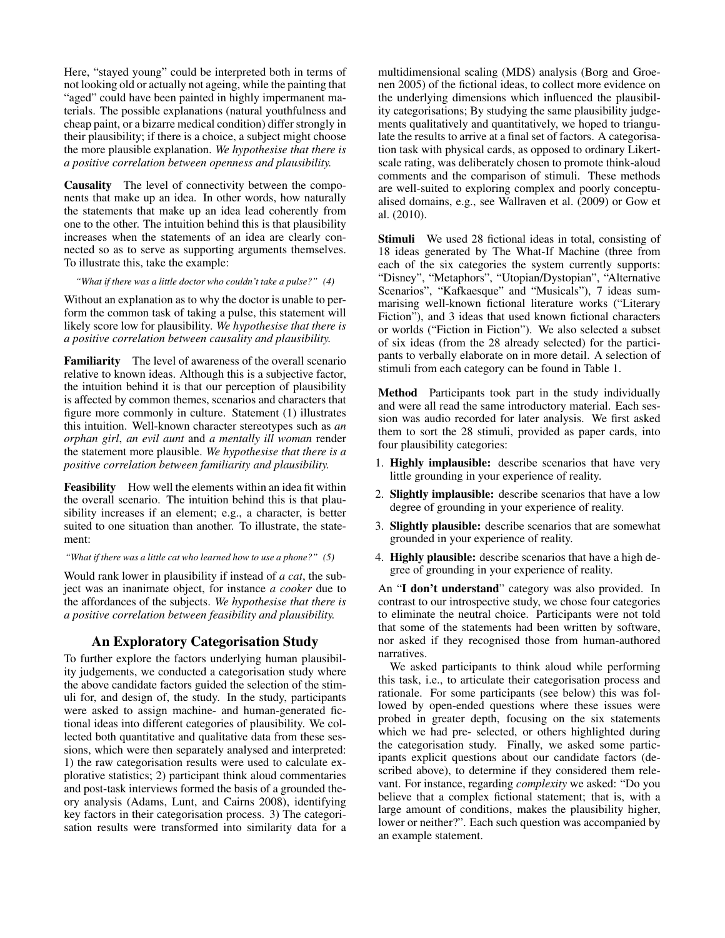Here, "stayed young" could be interpreted both in terms of not looking old or actually not ageing, while the painting that "aged" could have been painted in highly impermanent materials. The possible explanations (natural youthfulness and cheap paint, or a bizarre medical condition) differ strongly in their plausibility; if there is a choice, a subject might choose the more plausible explanation. *We hypothesise that there is a positive correlation between openness and plausibility.*

Causality The level of connectivity between the components that make up an idea. In other words, how naturally the statements that make up an idea lead coherently from one to the other. The intuition behind this is that plausibility increases when the statements of an idea are clearly connected so as to serve as supporting arguments themselves. To illustrate this, take the example:

*"What if there was a little doctor who couldn't take a pulse?" (4)*

Without an explanation as to why the doctor is unable to perform the common task of taking a pulse, this statement will likely score low for plausibility. *We hypothesise that there is a positive correlation between causality and plausibility.*

Familiarity The level of awareness of the overall scenario relative to known ideas. Although this is a subjective factor, the intuition behind it is that our perception of plausibility is affected by common themes, scenarios and characters that figure more commonly in culture. Statement (1) illustrates this intuition. Well-known character stereotypes such as *an orphan girl*, *an evil aunt* and *a mentally ill woman* render the statement more plausible. *We hypothesise that there is a positive correlation between familiarity and plausibility.*

Feasibility How well the elements within an idea fit within the overall scenario. The intuition behind this is that plausibility increases if an element; e.g., a character, is better suited to one situation than another. To illustrate, the statement:

*"What if there was a little cat who learned how to use a phone?" (5)*

Would rank lower in plausibility if instead of *a cat*, the subject was an inanimate object, for instance *a cooker* due to the affordances of the subjects. *We hypothesise that there is a positive correlation between feasibility and plausibility.*

## An Exploratory Categorisation Study

To further explore the factors underlying human plausibility judgements, we conducted a categorisation study where the above candidate factors guided the selection of the stimuli for, and design of, the study. In the study, participants were asked to assign machine- and human-generated fictional ideas into different categories of plausibility. We collected both quantitative and qualitative data from these sessions, which were then separately analysed and interpreted: 1) the raw categorisation results were used to calculate explorative statistics; 2) participant think aloud commentaries and post-task interviews formed the basis of a grounded theory analysis (Adams, Lunt, and Cairns 2008), identifying key factors in their categorisation process. 3) The categorisation results were transformed into similarity data for a

multidimensional scaling (MDS) analysis (Borg and Groenen 2005) of the fictional ideas, to collect more evidence on the underlying dimensions which influenced the plausibility categorisations; By studying the same plausibility judgements qualitatively and quantitatively, we hoped to triangulate the results to arrive at a final set of factors. A categorisation task with physical cards, as opposed to ordinary Likertscale rating, was deliberately chosen to promote think-aloud comments and the comparison of stimuli. These methods are well-suited to exploring complex and poorly conceptualised domains, e.g., see Wallraven et al. (2009) or Gow et al. (2010).

Stimuli We used 28 fictional ideas in total, consisting of 18 ideas generated by The What-If Machine (three from each of the six categories the system currently supports: "Disney", "Metaphors", "Utopian/Dystopian", "Alternative Scenarios", "Kafkaesque" and "Musicals"), 7 ideas summarising well-known fictional literature works ("Literary Fiction"), and 3 ideas that used known fictional characters or worlds ("Fiction in Fiction"). We also selected a subset of six ideas (from the 28 already selected) for the participants to verbally elaborate on in more detail. A selection of stimuli from each category can be found in Table 1.

Method Participants took part in the study individually and were all read the same introductory material. Each session was audio recorded for later analysis. We first asked them to sort the 28 stimuli, provided as paper cards, into four plausibility categories:

- 1. Highly implausible: describe scenarios that have very little grounding in your experience of reality.
- 2. Slightly implausible: describe scenarios that have a low degree of grounding in your experience of reality.
- 3. Slightly plausible: describe scenarios that are somewhat grounded in your experience of reality.
- 4. Highly plausible: describe scenarios that have a high degree of grounding in your experience of reality.

An "I don't understand" category was also provided. In contrast to our introspective study, we chose four categories to eliminate the neutral choice. Participants were not told that some of the statements had been written by software, nor asked if they recognised those from human-authored narratives.

We asked participants to think aloud while performing this task, i.e., to articulate their categorisation process and rationale. For some participants (see below) this was followed by open-ended questions where these issues were probed in greater depth, focusing on the six statements which we had pre- selected, or others highlighted during the categorisation study. Finally, we asked some participants explicit questions about our candidate factors (described above), to determine if they considered them relevant. For instance, regarding *complexity* we asked: "Do you believe that a complex fictional statement; that is, with a large amount of conditions, makes the plausibility higher, lower or neither?". Each such question was accompanied by an example statement.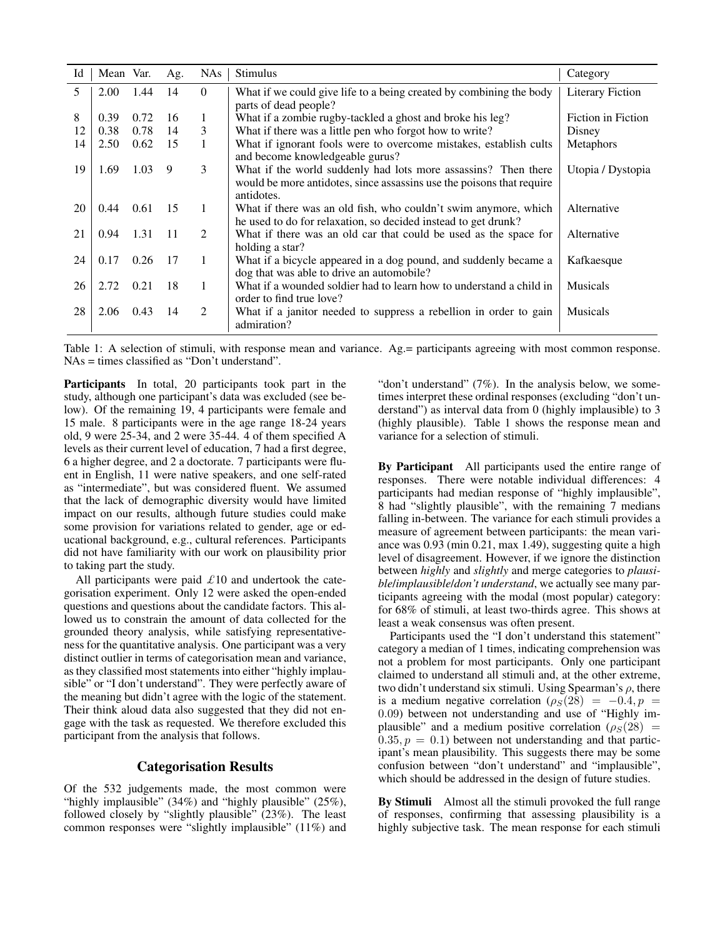| Id | Mean Var. |      | Ag.             | <b>NAs</b>                  | <b>Stimulus</b>                                                                                                                                       | Category                |
|----|-----------|------|-----------------|-----------------------------|-------------------------------------------------------------------------------------------------------------------------------------------------------|-------------------------|
| 5. | 2.00      | 1.44 | 14              | $\Omega$                    | What if we could give life to a being created by combining the body<br>parts of dead people?                                                          | <b>Literary Fiction</b> |
| 8  | 0.39      | 0.72 | 16              | 1                           | What if a zombie rugby-tackled a ghost and broke his leg?                                                                                             | Fiction in Fiction      |
| 12 | 0.38      | 0.78 | 14              | 3                           | What if there was a little pen who forgot how to write?                                                                                               | Disney                  |
| 14 | 2.50      | 0.62 | 15              | 1                           | What if ignorant fools were to overcome mistakes, establish cults<br>and become knowledgeable gurus?                                                  | Metaphors               |
| 19 | 1.69      | 1.03 | 9               | 3                           | What if the world suddenly had lots more assassins? Then there<br>would be more antidotes, since assassins use the poisons that require<br>antidotes. | Utopia / Dystopia       |
| 20 | 0.44      | 0.61 | $\overline{15}$ | 1                           | What if there was an old fish, who couldn't swim anymore, which<br>he used to do for relaxation, so decided instead to get drunk?                     | Alternative             |
| 21 | 0.94      | 1.31 | $-11$           | $\mathcal{L}$               | What if there was an old car that could be used as the space for<br>holding a star?                                                                   | Alternative             |
| 24 | 0.17      | 0.26 | 17              | 1                           | What if a bicycle appeared in a dog pound, and suddenly became a<br>dog that was able to drive an automobile?                                         | Kafkaesque              |
| 26 | 2.72      | 0.21 | 18              | 1                           | What if a wounded soldier had to learn how to understand a child in<br>order to find true love?                                                       | <b>Musicals</b>         |
| 28 | 2.06      | 0.43 | 14              | $\mathcal{D}_{\mathcal{L}}$ | What if a janitor needed to suppress a rebellion in order to gain<br>admiration?                                                                      | <b>Musicals</b>         |

Table 1: A selection of stimuli, with response mean and variance. Ag.= participants agreeing with most common response. NAs = times classified as "Don't understand".

Participants In total, 20 participants took part in the study, although one participant's data was excluded (see below). Of the remaining 19, 4 participants were female and 15 male. 8 participants were in the age range 18-24 years old, 9 were 25-34, and 2 were 35-44. 4 of them specified A levels as their current level of education, 7 had a first degree, 6 a higher degree, and 2 a doctorate. 7 participants were fluent in English, 11 were native speakers, and one self-rated as "intermediate", but was considered fluent. We assumed that the lack of demographic diversity would have limited impact on our results, although future studies could make some provision for variations related to gender, age or educational background, e.g., cultural references. Participants did not have familiarity with our work on plausibility prior to taking part the study.

All participants were paid  $\pounds 10$  and undertook the categorisation experiment. Only 12 were asked the open-ended questions and questions about the candidate factors. This allowed us to constrain the amount of data collected for the grounded theory analysis, while satisfying representativeness for the quantitative analysis. One participant was a very distinct outlier in terms of categorisation mean and variance, as they classified most statements into either "highly implausible" or "I don't understand". They were perfectly aware of the meaning but didn't agree with the logic of the statement. Their think aloud data also suggested that they did not engage with the task as requested. We therefore excluded this participant from the analysis that follows.

## Categorisation Results

Of the 532 judgements made, the most common were "highly implausible" (34%) and "highly plausible" (25%), followed closely by "slightly plausible" (23%). The least common responses were "slightly implausible" (11%) and

"don't understand"  $(7\%)$ . In the analysis below, we sometimes interpret these ordinal responses (excluding "don't understand") as interval data from 0 (highly implausible) to 3 (highly plausible). Table 1 shows the response mean and variance for a selection of stimuli.

By Participant All participants used the entire range of responses. There were notable individual differences: 4 participants had median response of "highly implausible", 8 had "slightly plausible", with the remaining 7 medians falling in-between. The variance for each stimuli provides a measure of agreement between participants: the mean variance was 0.93 (min 0.21, max 1.49), suggesting quite a high level of disagreement. However, if we ignore the distinction between *highly* and *slightly* and merge categories to *plausible*/*implausible*/*don't understand*, we actually see many participants agreeing with the modal (most popular) category: for 68% of stimuli, at least two-thirds agree. This shows at least a weak consensus was often present.

Participants used the "I don't understand this statement" category a median of 1 times, indicating comprehension was not a problem for most participants. Only one participant claimed to understand all stimuli and, at the other extreme, two didn't understand six stimuli. Using Spearman's  $\rho$ , there is a medium negative correlation  $(\rho_S(28)) = -0.4, p =$ 0.09) between not understanding and use of "Highly implausible" and a medium positive correlation ( $\rho_S(28)$  =  $0.35, p = 0.1$ ) between not understanding and that participant's mean plausibility. This suggests there may be some confusion between "don't understand" and "implausible", which should be addressed in the design of future studies.

By Stimuli Almost all the stimuli provoked the full range of responses, confirming that assessing plausibility is a highly subjective task. The mean response for each stimuli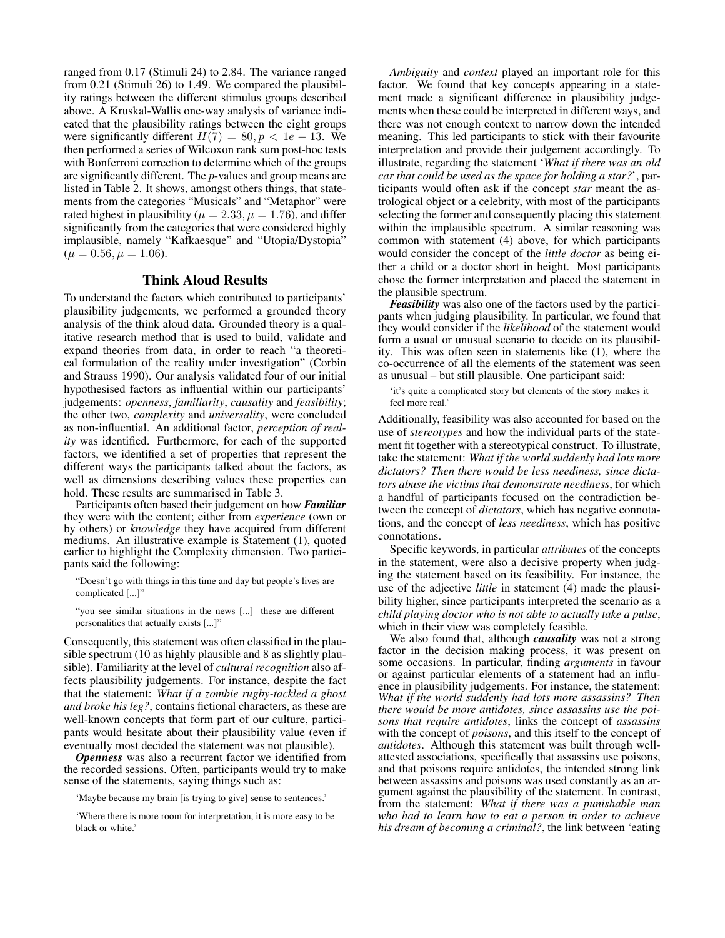ranged from 0.17 (Stimuli 24) to 2.84. The variance ranged from 0.21 (Stimuli 26) to 1.49. We compared the plausibility ratings between the different stimulus groups described above. A Kruskal-Wallis one-way analysis of variance indicated that the plausibility ratings between the eight groups were significantly different  $H(7) = 80, p < 1e - 13$ . We then performed a series of Wilcoxon rank sum post-hoc tests with Bonferroni correction to determine which of the groups are significantly different. The p-values and group means are listed in Table 2. It shows, amongst others things, that statements from the categories "Musicals" and "Metaphor" were rated highest in plausibility ( $\mu = 2.33, \mu = 1.76$ ), and differ significantly from the categories that were considered highly implausible, namely "Kafkaesque" and "Utopia/Dystopia"  $(\mu = 0.56, \mu = 1.06).$ 

## Think Aloud Results

To understand the factors which contributed to participants' plausibility judgements, we performed a grounded theory analysis of the think aloud data. Grounded theory is a qualitative research method that is used to build, validate and expand theories from data, in order to reach "a theoretical formulation of the reality under investigation" (Corbin and Strauss 1990). Our analysis validated four of our initial hypothesised factors as influential within our participants' judgements: *openness*, *familiarity*, *causality* and *feasibility*; the other two, *complexity* and *universality*, were concluded as non-influential. An additional factor, *perception of reality* was identified. Furthermore, for each of the supported factors, we identified a set of properties that represent the different ways the participants talked about the factors, as well as dimensions describing values these properties can hold. These results are summarised in Table 3.

Participants often based their judgement on how *Familiar* they were with the content; either from *experience* (own or by others) or *knowledge* they have acquired from different mediums. An illustrative example is Statement (1), quoted earlier to highlight the Complexity dimension. Two participants said the following:

"Doesn't go with things in this time and day but people's lives are complicated [...]"

"you see similar situations in the news [...] these are different personalities that actually exists [...]"

Consequently, this statement was often classified in the plausible spectrum (10 as highly plausible and 8 as slightly plausible). Familiarity at the level of *cultural recognition* also affects plausibility judgements. For instance, despite the fact that the statement: *What if a zombie rugby-tackled a ghost and broke his leg?*, contains fictional characters, as these are well-known concepts that form part of our culture, participants would hesitate about their plausibility value (even if eventually most decided the statement was not plausible).

*Openness* was also a recurrent factor we identified from the recorded sessions. Often, participants would try to make sense of the statements, saying things such as:

'Maybe because my brain [is trying to give] sense to sentences.'

'Where there is more room for interpretation, it is more easy to be black or white.'

*Ambiguity* and *context* played an important role for this factor. We found that key concepts appearing in a statement made a significant difference in plausibility judgements when these could be interpreted in different ways, and there was not enough context to narrow down the intended meaning. This led participants to stick with their favourite interpretation and provide their judgement accordingly. To illustrate, regarding the statement '*What if there was an old car that could be used as the space for holding a star?*', participants would often ask if the concept *star* meant the astrological object or a celebrity, with most of the participants selecting the former and consequently placing this statement within the implausible spectrum. A similar reasoning was common with statement (4) above, for which participants would consider the concept of the *little doctor* as being either a child or a doctor short in height. Most participants chose the former interpretation and placed the statement in the plausible spectrum.

*Feasibility* was also one of the factors used by the participants when judging plausibility. In particular, we found that they would consider if the *likelihood* of the statement would form a usual or unusual scenario to decide on its plausibility. This was often seen in statements like (1), where the co-occurrence of all the elements of the statement was seen as unusual – but still plausible. One participant said:

'it's quite a complicated story but elements of the story makes it feel more real.'

Additionally, feasibility was also accounted for based on the use of *stereotypes* and how the individual parts of the statement fit together with a stereotypical construct. To illustrate, take the statement: *What if the world suddenly had lots more dictators? Then there would be less neediness, since dictators abuse the victims that demonstrate neediness*, for which a handful of participants focused on the contradiction between the concept of *dictators*, which has negative connotations, and the concept of *less neediness*, which has positive connotations.

Specific keywords, in particular *attributes* of the concepts in the statement, were also a decisive property when judging the statement based on its feasibility. For instance, the use of the adjective *little* in statement (4) made the plausibility higher, since participants interpreted the scenario as a *child playing doctor who is not able to actually take a pulse*, which in their view was completely feasible.

We also found that, although *causality* was not a strong factor in the decision making process, it was present on some occasions. In particular, finding *arguments* in favour or against particular elements of a statement had an influence in plausibility judgements. For instance, the statement: *What if the world suddenly had lots more assassins? Then there would be more antidotes, since assassins use the poisons that require antidotes*, links the concept of *assassins* with the concept of *poisons*, and this itself to the concept of *antidotes*. Although this statement was built through wellattested associations, specifically that assassins use poisons, and that poisons require antidotes, the intended strong link between assassins and poisons was used constantly as an argument against the plausibility of the statement. In contrast, from the statement: *What if there was a punishable man who had to learn how to eat a person in order to achieve his dream of becoming a criminal?*, the link between 'eating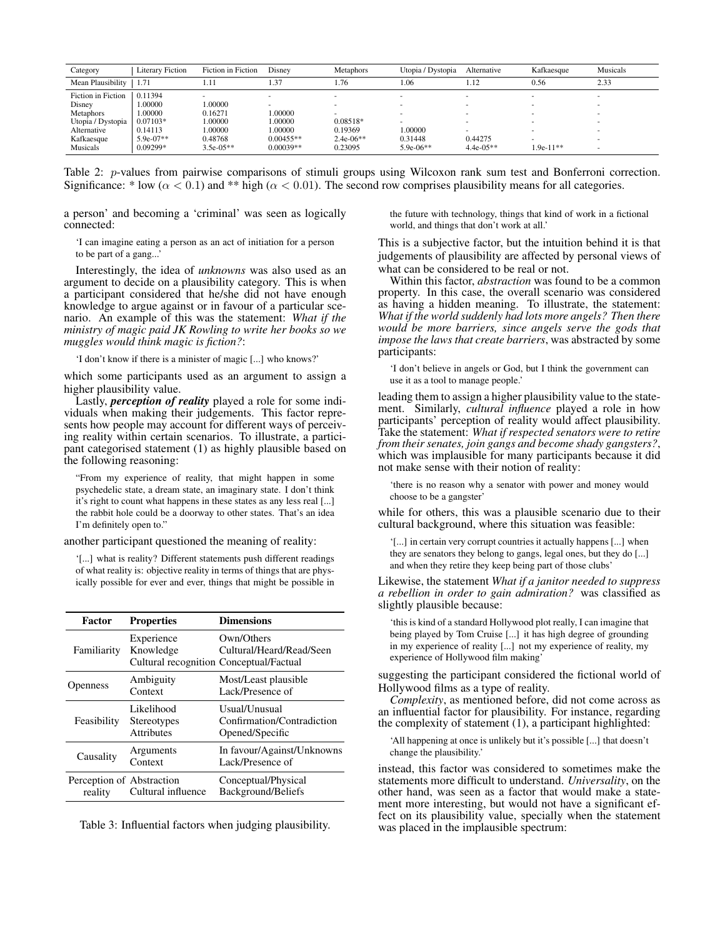| Category           | <b>Literary Fiction</b> | Fiction in Fiction | Disnev      | <b>Metaphors</b> | Utopia / Dystopia        | Alternative | Kafkaesque  | Musicals |
|--------------------|-------------------------|--------------------|-------------|------------------|--------------------------|-------------|-------------|----------|
| Mean Plausibility  | 1.71                    | 1.11               | 1.37        | 1.76             | .06                      | 1.12        | 0.56        | 2.33     |
| Fiction in Fiction | 0.11394                 |                    | $\sim$      | $\sim$           | $\overline{\phantom{a}}$ | $\sim$      | $\sim$      |          |
| Disney             | .00000                  | 1.00000            |             |                  |                          | -           |             |          |
| <b>Metaphors</b>   | 00000.1                 | 0.16271            | 1.00000     |                  |                          | ۰           |             |          |
| Utopia / Dystopia  | $0.07103*$              | 1.00000            | 1.00000     | $0.08518*$       |                          |             |             |          |
| Alternative        | 0.14113                 | 1.00000            | 1.00000     | 0.19369          | .00000                   | -           | $\sim$      |          |
| Kafkaesque         | $5.9e-07**$             | 0.48768            | $0.00455**$ | $2.4e-06**$      | 0.31448                  | 0.44275     |             |          |
| <b>Musicals</b>    | $0.09299*$              | $3.5e-05**$        | $0.00039**$ | 0.23095          | $5.9e-06**$              | $4.4e-05**$ | $1.9e-11**$ |          |

Table 2: *p*-values from pairwise comparisons of stimuli groups using Wilcoxon rank sum test and Bonferroni correction. Significance: \* low ( $\alpha$  < 0.1) and \*\* high ( $\alpha$  < 0.01). The second row comprises plausibility means for all categories.

a person' and becoming a 'criminal' was seen as logically connected:

'I can imagine eating a person as an act of initiation for a person to be part of a gang...'

Interestingly, the idea of *unknowns* was also used as an argument to decide on a plausibility category. This is when a participant considered that he/she did not have enough knowledge to argue against or in favour of a particular scenario. An example of this was the statement: *What if the ministry of magic paid JK Rowling to write her books so we muggles would think magic is fiction?*:

'I don't know if there is a minister of magic [...] who knows?'

which some participants used as an argument to assign a higher plausibility value.

Lastly, *perception of reality* played a role for some individuals when making their judgements. This factor represents how people may account for different ways of perceiving reality within certain scenarios. To illustrate, a participant categorised statement (1) as highly plausible based on the following reasoning:

"From my experience of reality, that might happen in some psychedelic state, a dream state, an imaginary state. I don't think it's right to count what happens in these states as any less real [...] the rabbit hole could be a doorway to other states. That's an idea I'm definitely open to."

another participant questioned the meaning of reality:

'[...] what is reality? Different statements push different readings of what reality is: objective reality in terms of things that are physically possible for ever and ever, things that might be possible in

| Factor                               | <b>Properties</b>                                                  | <b>Dimensions</b>                                              |  |
|--------------------------------------|--------------------------------------------------------------------|----------------------------------------------------------------|--|
| Familiarity                          | Experience<br>Knowledge<br>Cultural recognition Conceptual/Factual | Own/Others<br>Cultural/Heard/Read/Seen                         |  |
| <b>Openness</b>                      | Ambiguity<br>Context                                               | Most/Least plausible<br>Lack/Presence of                       |  |
| Feasibility                          | Likelihood<br><b>Stereotypes</b><br><b>Attributes</b>              | Usual/Unusual<br>Confirmation/Contradiction<br>Opened/Specific |  |
| Causality                            | Arguments<br>Context                                               | In favour/Against/Unknowns<br>Lack/Presence of                 |  |
| Perception of Abstraction<br>reality | Cultural influence                                                 | Conceptual/Physical<br>Background/Beliefs                      |  |

Table 3: Influential factors when judging plausibility.

the future with technology, things that kind of work in a fictional world, and things that don't work at all.'

This is a subjective factor, but the intuition behind it is that judgements of plausibility are affected by personal views of what can be considered to be real or not.

Within this factor, *abstraction* was found to be a common property. In this case, the overall scenario was considered as having a hidden meaning. To illustrate, the statement: *What if the world suddenly had lots more angels? Then there would be more barriers, since angels serve the gods that impose the laws that create barriers*, was abstracted by some participants:

'I don't believe in angels or God, but I think the government can use it as a tool to manage people.'

leading them to assign a higher plausibility value to the statement. Similarly, *cultural influence* played a role in how participants' perception of reality would affect plausibility. Take the statement: *What if respected senators were to retire from their senates, join gangs and become shady gangsters?*, which was implausible for many participants because it did not make sense with their notion of reality:

'there is no reason why a senator with power and money would choose to be a gangster'

while for others, this was a plausible scenario due to their cultural background, where this situation was feasible:

'[...] in certain very corrupt countries it actually happens [...] when they are senators they belong to gangs, legal ones, but they do [...] and when they retire they keep being part of those clubs'

Likewise, the statement *What if a janitor needed to suppress a rebellion in order to gain admiration?* was classified as slightly plausible because:

'this is kind of a standard Hollywood plot really, I can imagine that being played by Tom Cruise [...] it has high degree of grounding in my experience of reality [...] not my experience of reality, my experience of Hollywood film making'

suggesting the participant considered the fictional world of Hollywood films as a type of reality.

*Complexity*, as mentioned before, did not come across as an influential factor for plausibility. For instance, regarding the complexity of statement (1), a participant highlighted:

'All happening at once is unlikely but it's possible [...] that doesn't change the plausibility.'

instead, this factor was considered to sometimes make the statements more difficult to understand. *Universality*, on the other hand, was seen as a factor that would make a statement more interesting, but would not have a significant effect on its plausibility value, specially when the statement was placed in the implausible spectrum: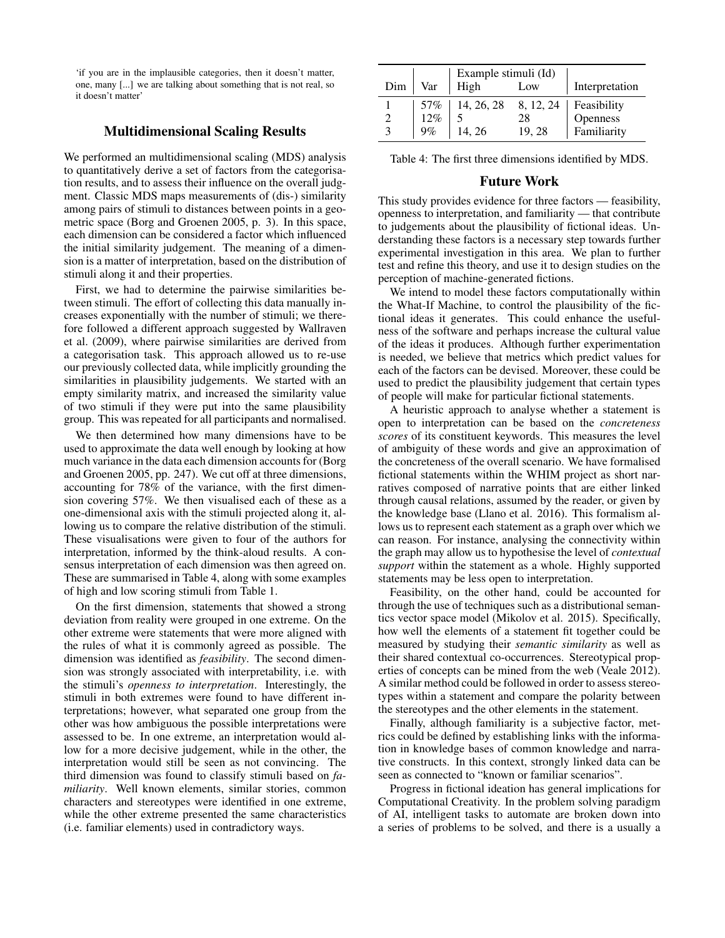'if you are in the implausible categories, then it doesn't matter, one, many [...] we are talking about something that is not real, so it doesn't matter'

## Multidimensional Scaling Results

We performed an multidimensional scaling (MDS) analysis to quantitatively derive a set of factors from the categorisation results, and to assess their influence on the overall judgment. Classic MDS maps measurements of (dis-) similarity among pairs of stimuli to distances between points in a geometric space (Borg and Groenen 2005, p. 3). In this space, each dimension can be considered a factor which influenced the initial similarity judgement. The meaning of a dimension is a matter of interpretation, based on the distribution of stimuli along it and their properties.

First, we had to determine the pairwise similarities between stimuli. The effort of collecting this data manually increases exponentially with the number of stimuli; we therefore followed a different approach suggested by Wallraven et al. (2009), where pairwise similarities are derived from a categorisation task. This approach allowed us to re-use our previously collected data, while implicitly grounding the similarities in plausibility judgements. We started with an empty similarity matrix, and increased the similarity value of two stimuli if they were put into the same plausibility group. This was repeated for all participants and normalised.

We then determined how many dimensions have to be used to approximate the data well enough by looking at how much variance in the data each dimension accounts for (Borg and Groenen 2005, pp. 247). We cut off at three dimensions, accounting for 78% of the variance, with the first dimension covering 57%. We then visualised each of these as a one-dimensional axis with the stimuli projected along it, allowing us to compare the relative distribution of the stimuli. These visualisations were given to four of the authors for interpretation, informed by the think-aloud results. A consensus interpretation of each dimension was then agreed on. These are summarised in Table 4, along with some examples of high and low scoring stimuli from Table 1.

On the first dimension, statements that showed a strong deviation from reality were grouped in one extreme. On the other extreme were statements that were more aligned with the rules of what it is commonly agreed as possible. The dimension was identified as *feasibility*. The second dimension was strongly associated with interpretability, i.e. with the stimuli's *openness to interpretation*. Interestingly, the stimuli in both extremes were found to have different interpretations; however, what separated one group from the other was how ambiguous the possible interpretations were assessed to be. In one extreme, an interpretation would allow for a more decisive judgement, while in the other, the interpretation would still be seen as not convincing. The third dimension was found to classify stimuli based on *familiarity*. Well known elements, similar stories, common characters and stereotypes were identified in one extreme, while the other extreme presented the same characteristics (i.e. familiar elements) used in contradictory ways.

|     |     | Example stimuli (Id)                                           |           |                |
|-----|-----|----------------------------------------------------------------|-----------|----------------|
| Dim | Var | High                                                           | Low       | Interpretation |
|     |     | $\begin{array}{c c} 57\% & 14, 26, 28 \\ 12\% & 5 \end{array}$ | 8, 12, 24 | Feasibility    |
|     |     |                                                                | 28        | Openness       |
|     | 9%  | 14, 26                                                         | 19.28     | Familiarity    |

Table 4: The first three dimensions identified by MDS.

## Future Work

This study provides evidence for three factors — feasibility, openness to interpretation, and familiarity — that contribute to judgements about the plausibility of fictional ideas. Understanding these factors is a necessary step towards further experimental investigation in this area. We plan to further test and refine this theory, and use it to design studies on the perception of machine-generated fictions.

We intend to model these factors computationally within the What-If Machine, to control the plausibility of the fictional ideas it generates. This could enhance the usefulness of the software and perhaps increase the cultural value of the ideas it produces. Although further experimentation is needed, we believe that metrics which predict values for each of the factors can be devised. Moreover, these could be used to predict the plausibility judgement that certain types of people will make for particular fictional statements.

A heuristic approach to analyse whether a statement is open to interpretation can be based on the *concreteness scores* of its constituent keywords. This measures the level of ambiguity of these words and give an approximation of the concreteness of the overall scenario. We have formalised fictional statements within the WHIM project as short narratives composed of narrative points that are either linked through causal relations, assumed by the reader, or given by the knowledge base (Llano et al. 2016). This formalism allows us to represent each statement as a graph over which we can reason. For instance, analysing the connectivity within the graph may allow us to hypothesise the level of *contextual support* within the statement as a whole. Highly supported statements may be less open to interpretation.

Feasibility, on the other hand, could be accounted for through the use of techniques such as a distributional semantics vector space model (Mikolov et al. 2015). Specifically, how well the elements of a statement fit together could be measured by studying their *semantic similarity* as well as their shared contextual co-occurrences. Stereotypical properties of concepts can be mined from the web (Veale 2012). A similar method could be followed in order to assess stereotypes within a statement and compare the polarity between the stereotypes and the other elements in the statement.

Finally, although familiarity is a subjective factor, metrics could be defined by establishing links with the information in knowledge bases of common knowledge and narrative constructs. In this context, strongly linked data can be seen as connected to "known or familiar scenarios".

Progress in fictional ideation has general implications for Computational Creativity. In the problem solving paradigm of AI, intelligent tasks to automate are broken down into a series of problems to be solved, and there is a usually a